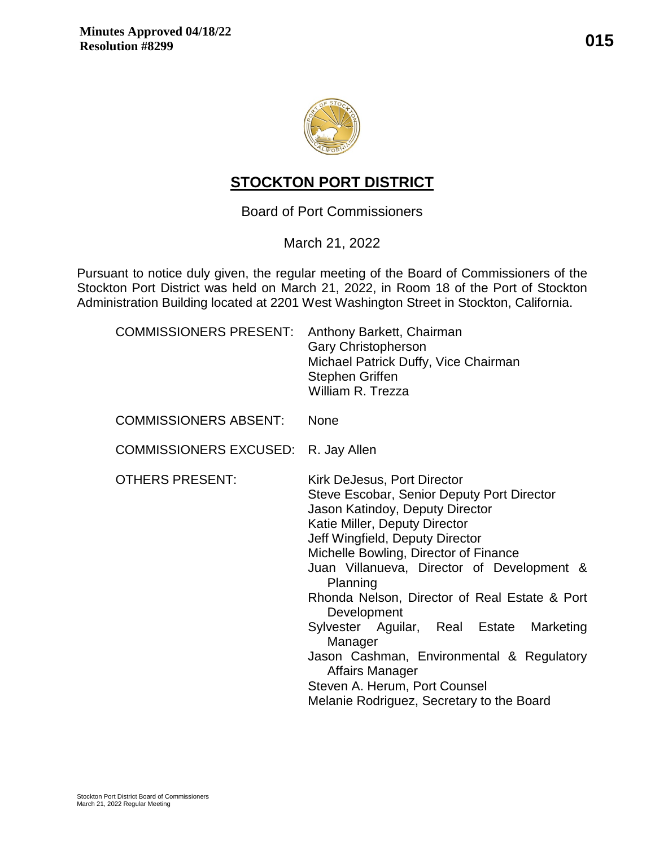

# **STOCKTON PORT DISTRICT**

Board of Port Commissioners

March 21, 2022

Pursuant to notice duly given, the regular meeting of the Board of Commissioners of the Stockton Port District was held on March 21, 2022, in Room 18 of the Port of Stockton Administration Building located at 2201 West Washington Street in Stockton, California.

| <b>COMMISSIONERS PRESENT:</b> | Anthony Barkett, Chairman<br><b>Gary Christopherson</b><br>Michael Patrick Duffy, Vice Chairman<br>Stephen Griffen<br>William R. Trezza                                                                                                                                                                                                                                                                                                                                                                                                                     |  |  |  |
|-------------------------------|-------------------------------------------------------------------------------------------------------------------------------------------------------------------------------------------------------------------------------------------------------------------------------------------------------------------------------------------------------------------------------------------------------------------------------------------------------------------------------------------------------------------------------------------------------------|--|--|--|
| <b>COMMISSIONERS ABSENT:</b>  | <b>None</b>                                                                                                                                                                                                                                                                                                                                                                                                                                                                                                                                                 |  |  |  |
| <b>COMMISSIONERS EXCUSED:</b> | R. Jay Allen                                                                                                                                                                                                                                                                                                                                                                                                                                                                                                                                                |  |  |  |
| <b>OTHERS PRESENT:</b>        | Kirk DeJesus, Port Director<br>Steve Escobar, Senior Deputy Port Director<br>Jason Katindoy, Deputy Director<br>Katie Miller, Deputy Director<br>Jeff Wingfield, Deputy Director<br>Michelle Bowling, Director of Finance<br>Juan Villanueva, Director of Development &<br>Planning<br>Rhonda Nelson, Director of Real Estate & Port<br>Development<br>Sylvester Aguilar, Real Estate<br>Marketing<br>Manager<br>Jason Cashman, Environmental & Regulatory<br>Affairs Manager<br>Steven A. Herum, Port Counsel<br>Melanie Rodriguez, Secretary to the Board |  |  |  |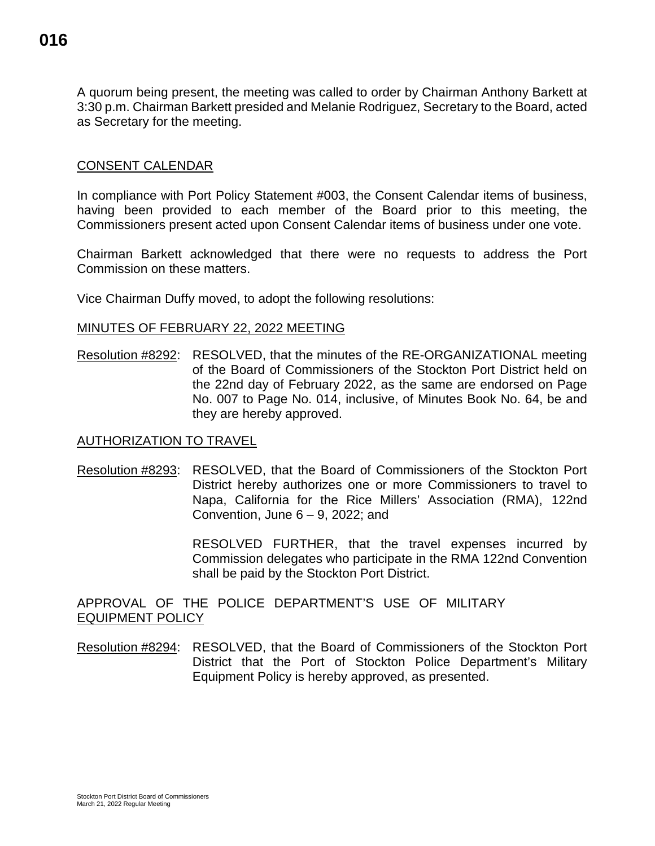A quorum being present, the meeting was called to order by Chairman Anthony Barkett at 3:30 p.m. Chairman Barkett presided and Melanie Rodriguez, Secretary to the Board, acted as Secretary for the meeting.

### CONSENT CALENDAR

In compliance with Port Policy Statement #003, the Consent Calendar items of business, having been provided to each member of the Board prior to this meeting, the Commissioners present acted upon Consent Calendar items of business under one vote.

Chairman Barkett acknowledged that there were no requests to address the Port Commission on these matters.

Vice Chairman Duffy moved, to adopt the following resolutions:

MINUTES OF FEBRUARY 22, 2022 MEETING

Resolution #8292: RESOLVED, that the minutes of the RE-ORGANIZATIONAL meeting of the Board of Commissioners of the Stockton Port District held on the 22nd day of February 2022, as the same are endorsed on Page No. 007 to Page No. 014, inclusive, of Minutes Book No. 64, be and they are hereby approved.

#### AUTHORIZATION TO TRAVEL

Resolution #8293: RESOLVED, that the Board of Commissioners of the Stockton Port District hereby authorizes one or more Commissioners to travel to Napa, California for the Rice Millers' Association (RMA), 122nd Convention, June  $6 - 9$ , 2022; and

> RESOLVED FURTHER, that the travel expenses incurred by Commission delegates who participate in the RMA 122nd Convention shall be paid by the Stockton Port District.

APPROVAL OF THE POLICE DEPARTMENT'S USE OF MILITARY EQUIPMENT POLICY

Resolution #8294: RESOLVED, that the Board of Commissioners of the Stockton Port District that the Port of Stockton Police Department's Military Equipment Policy is hereby approved, as presented.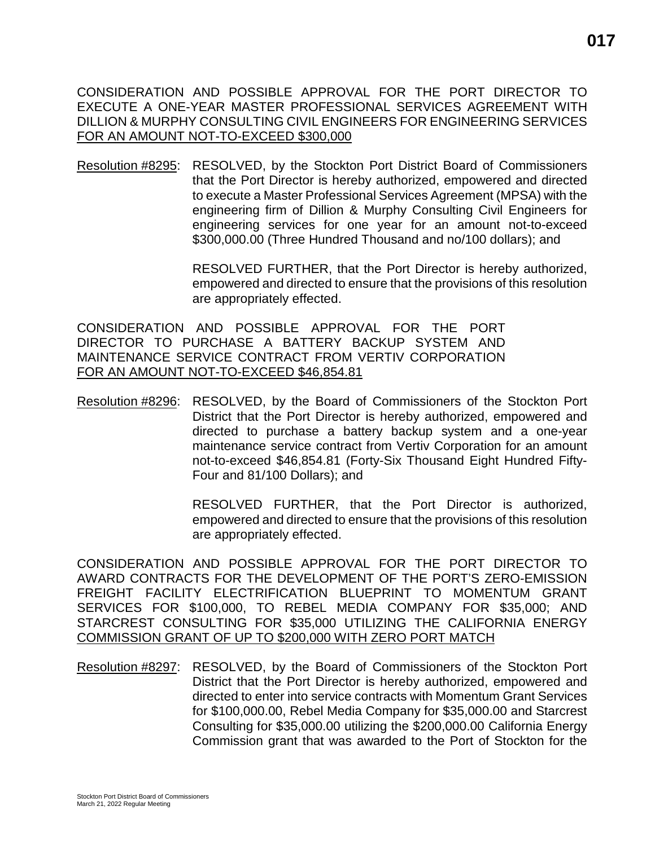CONSIDERATION AND POSSIBLE APPROVAL FOR THE PORT DIRECTOR TO EXECUTE A ONE-YEAR MASTER PROFESSIONAL SERVICES AGREEMENT WITH DILLION & MURPHY CONSULTING CIVIL ENGINEERS FOR ENGINEERING SERVICES FOR AN AMOUNT NOT-TO-EXCEED \$300,000

Resolution #8295: RESOLVED, by the Stockton Port District Board of Commissioners that the Port Director is hereby authorized, empowered and directed to execute a Master Professional Services Agreement (MPSA) with the engineering firm of Dillion & Murphy Consulting Civil Engineers for engineering services for one year for an amount not-to-exceed \$300,000.00 (Three Hundred Thousand and no/100 dollars); and

> RESOLVED FURTHER, that the Port Director is hereby authorized, empowered and directed to ensure that the provisions of this resolution are appropriately effected.

CONSIDERATION AND POSSIBLE APPROVAL FOR THE PORT DIRECTOR TO PURCHASE A BATTERY BACKUP SYSTEM AND MAINTENANCE SERVICE CONTRACT FROM VERTIV CORPORATION FOR AN AMOUNT NOT-TO-EXCEED \$46,854.81

Resolution #8296: RESOLVED, by the Board of Commissioners of the Stockton Port District that the Port Director is hereby authorized, empowered and directed to purchase a battery backup system and a one-year maintenance service contract from Vertiv Corporation for an amount not-to-exceed \$46,854.81 (Forty-Six Thousand Eight Hundred Fifty-Four and 81/100 Dollars); and

> RESOLVED FURTHER, that the Port Director is authorized, empowered and directed to ensure that the provisions of this resolution are appropriately effected.

CONSIDERATION AND POSSIBLE APPROVAL FOR THE PORT DIRECTOR TO AWARD CONTRACTS FOR THE DEVELOPMENT OF THE PORT'S ZERO-EMISSION FREIGHT FACILITY ELECTRIFICATION BLUEPRINT TO MOMENTUM GRANT SERVICES FOR \$100,000, TO REBEL MEDIA COMPANY FOR \$35,000; AND STARCREST CONSULTING FOR \$35,000 UTILIZING THE CALIFORNIA ENERGY COMMISSION GRANT OF UP TO \$200,000 WITH ZERO PORT MATCH

Resolution #8297: RESOLVED, by the Board of Commissioners of the Stockton Port District that the Port Director is hereby authorized, empowered and directed to enter into service contracts with Momentum Grant Services for \$100,000.00, Rebel Media Company for \$35,000.00 and Starcrest Consulting for \$35,000.00 utilizing the \$200,000.00 California Energy Commission grant that was awarded to the Port of Stockton for the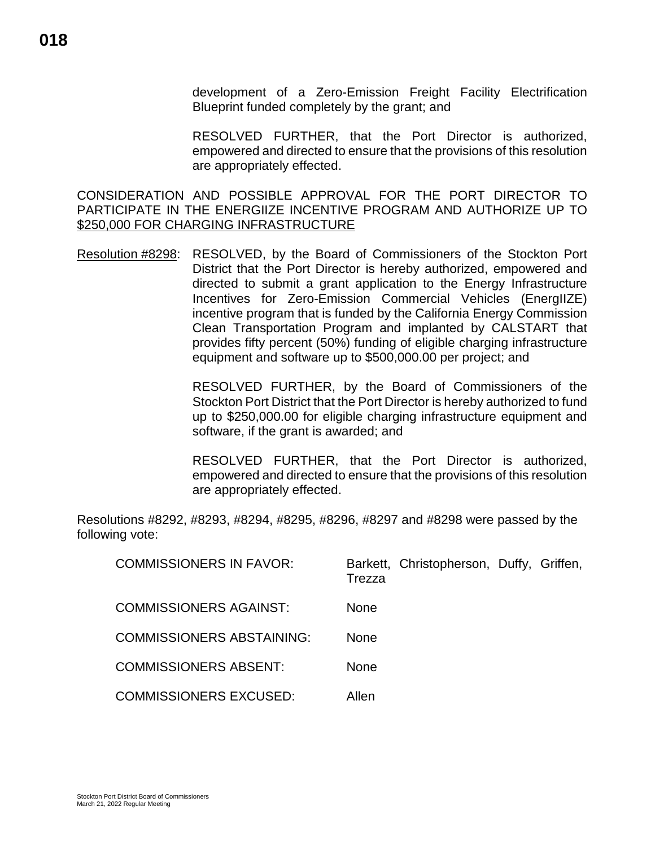development of a Zero-Emission Freight Facility Electrification Blueprint funded completely by the grant; and

RESOLVED FURTHER, that the Port Director is authorized, empowered and directed to ensure that the provisions of this resolution are appropriately effected.

CONSIDERATION AND POSSIBLE APPROVAL FOR THE PORT DIRECTOR TO PARTICIPATE IN THE ENERGIIZE INCENTIVE PROGRAM AND AUTHORIZE UP TO \$250,000 FOR CHARGING INFRASTRUCTURE

Resolution #8298: RESOLVED, by the Board of Commissioners of the Stockton Port District that the Port Director is hereby authorized, empowered and directed to submit a grant application to the Energy Infrastructure Incentives for Zero-Emission Commercial Vehicles (EnergIIZE) incentive program that is funded by the California Energy Commission Clean Transportation Program and implanted by CALSTART that provides fifty percent (50%) funding of eligible charging infrastructure equipment and software up to \$500,000.00 per project; and

> RESOLVED FURTHER, by the Board of Commissioners of the Stockton Port District that the Port Director is hereby authorized to fund up to \$250,000.00 for eligible charging infrastructure equipment and software, if the grant is awarded; and

> RESOLVED FURTHER, that the Port Director is authorized, empowered and directed to ensure that the provisions of this resolution are appropriately effected.

Resolutions #8292, #8293, #8294, #8295, #8296, #8297 and #8298 were passed by the following vote:

| <b>COMMISSIONERS IN FAVOR:</b>   | Trezza      | Barkett, Christopherson, Duffy, Griffen, |  |
|----------------------------------|-------------|------------------------------------------|--|
| <b>COMMISSIONERS AGAINST:</b>    | None        |                                          |  |
| <b>COMMISSIONERS ABSTAINING:</b> | <b>None</b> |                                          |  |
| <b>COMMISSIONERS ABSENT:</b>     | None        |                                          |  |
| <b>COMMISSIONERS EXCUSED:</b>    | Allen       |                                          |  |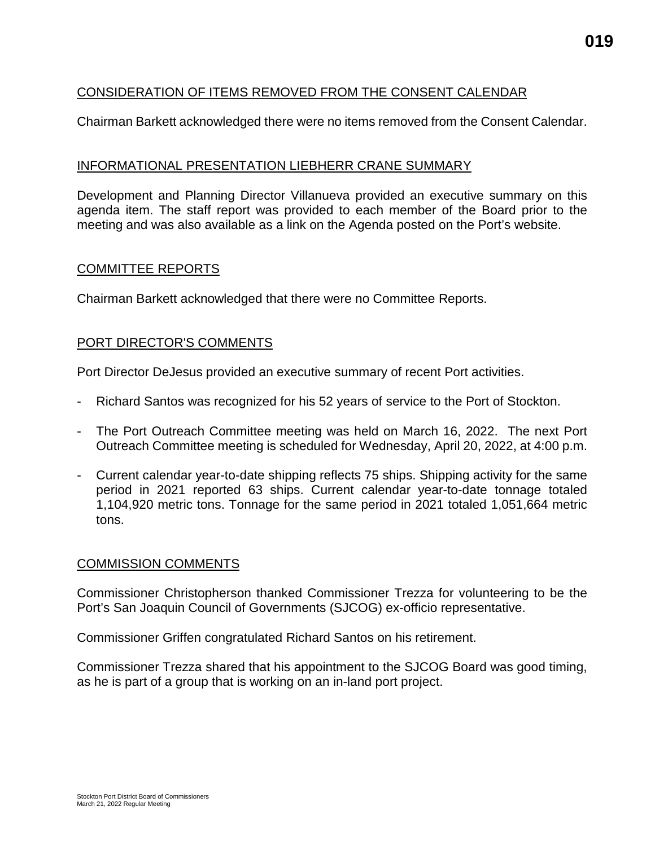### CONSIDERATION OF ITEMS REMOVED FROM THE CONSENT CALENDAR

Chairman Barkett acknowledged there were no items removed from the Consent Calendar.

#### INFORMATIONAL PRESENTATION LIEBHERR CRANE SUMMARY

Development and Planning Director Villanueva provided an executive summary on this agenda item. The staff report was provided to each member of the Board prior to the meeting and was also available as a link on the Agenda posted on the Port's website.

#### COMMITTEE REPORTS

Chairman Barkett acknowledged that there were no Committee Reports.

#### PORT DIRECTOR'S COMMENTS

Port Director DeJesus provided an executive summary of recent Port activities.

- Richard Santos was recognized for his 52 years of service to the Port of Stockton.
- The Port Outreach Committee meeting was held on March 16, 2022. The next Port Outreach Committee meeting is scheduled for Wednesday, April 20, 2022, at 4:00 p.m.
- Current calendar year-to-date shipping reflects 75 ships. Shipping activity for the same period in 2021 reported 63 ships. Current calendar year-to-date tonnage totaled 1,104,920 metric tons. Tonnage for the same period in 2021 totaled 1,051,664 metric tons.

#### COMMISSION COMMENTS

Commissioner Christopherson thanked Commissioner Trezza for volunteering to be the Port's San Joaquin Council of Governments (SJCOG) ex-officio representative.

Commissioner Griffen congratulated Richard Santos on his retirement.

Commissioner Trezza shared that his appointment to the SJCOG Board was good timing, as he is part of a group that is working on an in-land port project.